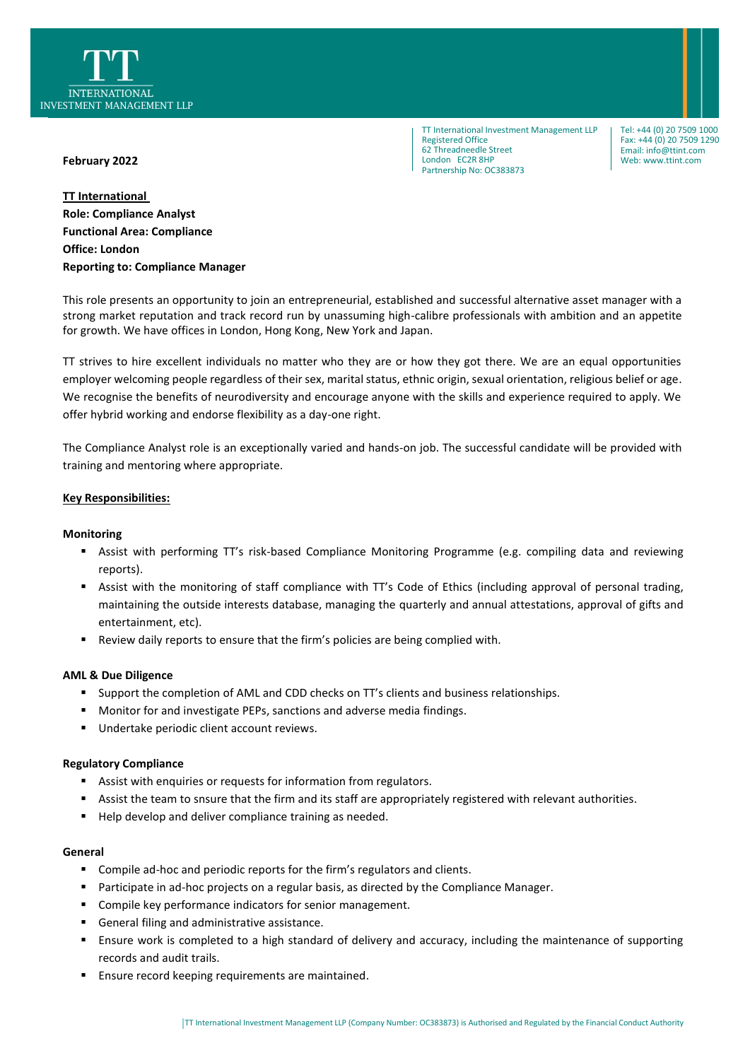

TT International Investment Management LLP Registered Office 62 Threadneedle Street London EC2R 8HP Partnership No: OC383873

Tel: +44 (0) 20 7509 1000 Fax: +44 (0) 20 7509 1290 Email: info@ttint.com Web: www.ttint.com

## **February 2022**

**TT International Role: Compliance Analyst Functional Area: Compliance Office: London Reporting to: Compliance Manager**

This role presents an opportunity to join an entrepreneurial, established and successful alternative asset manager with a strong market reputation and track record run by unassuming high-calibre professionals with ambition and an appetite for growth. We have offices in London, Hong Kong, New York and Japan.

TT strives to hire excellent individuals no matter who they are or how they got there. We are an equal opportunities employer welcoming people regardless of their sex, marital status, ethnic origin, sexual orientation, religious belief or age. We recognise the benefits of neurodiversity and encourage anyone with the skills and experience required to apply. We offer hybrid working and endorse flexibility as a day-one right.

The Compliance Analyst role is an exceptionally varied and hands-on job. The successful candidate will be provided with training and mentoring where appropriate.

# **Key Responsibilities:**

### **Monitoring**

- Assist with performing TT's risk-based Compliance Monitoring Programme (e.g. compiling data and reviewing reports).
- Assist with the monitoring of staff compliance with TT's Code of Ethics (including approval of personal trading, maintaining the outside interests database, managing the quarterly and annual attestations, approval of gifts and entertainment, etc).
- Review daily reports to ensure that the firm's policies are being complied with.

#### **AML & Due Diligence**

- Support the completion of AML and CDD checks on TT's clients and business relationships.
- Monitor for and investigate PEPs, sanctions and adverse media findings.
- Undertake periodic client account reviews.

#### **Regulatory Compliance**

- Assist with enquiries or requests for information from regulators.
- Assist the team to snsure that the firm and its staff are appropriately registered with relevant authorities.
- Help develop and deliver compliance training as needed.

#### **General**

- Compile ad-hoc and periodic reports for the firm's regulators and clients.
- Participate in ad-hoc projects on a regular basis, as directed by the Compliance Manager.
- Compile key performance indicators for senior management.
- General filing and administrative assistance.
- Ensure work is completed to a high standard of delivery and accuracy, including the maintenance of supporting records and audit trails.
- Ensure record keeping requirements are maintained.